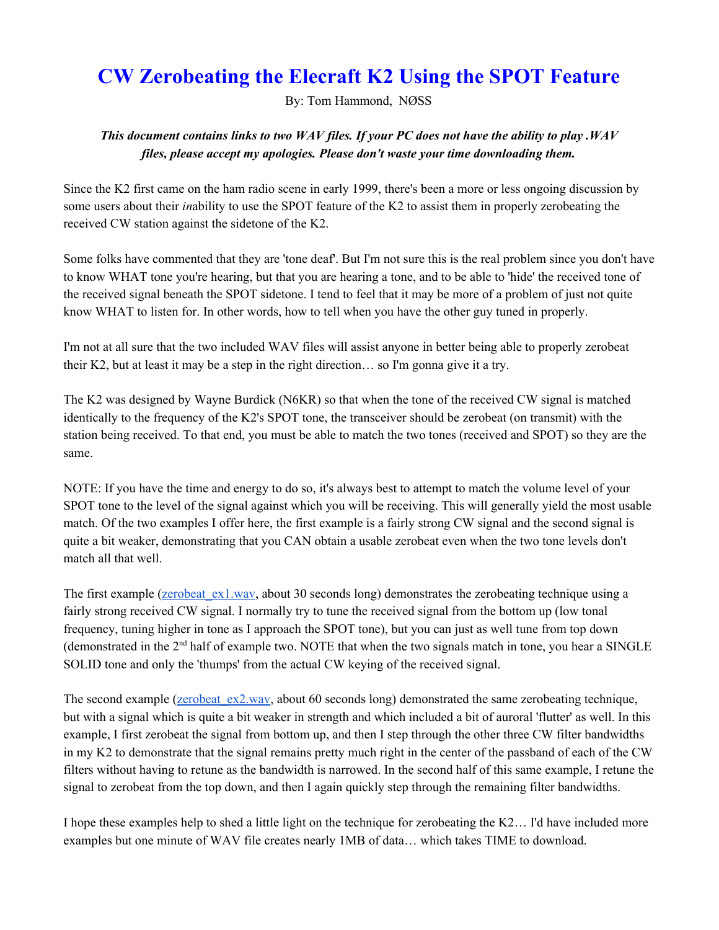## **CW Zerobeating the Elecraft K2 Using the SPOT Feature**

By: Tom Hammond, NØSS

## This document contains links to two WAV files. If your PC does not have the ability to play . WAV *files, please accept my apologies. Please don't waste your time downloading them.*

Since the K2 first came on the ham radio scene in early 1999, there's been a more or less ongoing discussion by some users about their *in*ability to use the SPOT feature of the K2 to assist them in properly zerobeating the received CW station against the sidetone of the K2.

Some folks have commented that they are 'tone deaf'. But I'm not sure this is the real problem since you don't have to know WHAT tone you're hearing, but that you are hearing a tone, and to be able to 'hide' the received tone of the received signal beneath the SPOT sidetone. I tend to feel that it may be more of a problem of just not quite know WHAT to listen for. In other words, how to tell when you have the other guy tuned in properly.

I'm not at all sure that the two included WAV files will assist anyone in better being able to properly zerobeat their K2, but at least it may be a step in the right direction… so I'm gonna give it a try.

The K2 was designed by Wayne Burdick (N6KR) so that when the tone of the received CW signal is matched identically to the frequency of the K2's SPOT tone, the transceiver should be zerobeat (on transmit) with the station being received. To that end, you must be able to match the two tones (received and SPOT) so they are the same.

NOTE: If you have the time and energy to do so, it's always best to attempt to match the volume level of your SPOT tone to the level of the signal against which you will be receiving. This will generally yield the most usable match. Of the two examples I offer here, the first example is a fairly strong CW signal and the second signal is quite a bit weaker, demonstrating that you CAN obtain a usable zerobeat even when the two tone levels don't match all that well.

The first example (*zerobeat* ex1.wav, about 30 seconds long) demonstrates the zerobeating technique using a fairly strong received CW signal. I normally try to tune the received signal from the bottom up (low tonal frequency, tuning higher in tone as I approach the SPOT tone), but you can just as well tune from top down (demonstrated in the  $2<sup>nd</sup>$  half of example two. NOTE that when the two signals match in tone, you hear a SINGLE SOLID tone and only the 'thumps' from the actual CW keying of the received signal.

The second example (zerobeat  $ex2.wav$ , about 60 seconds long) demonstrated the same zerobeating technique, but with a signal which is quite a bit weaker in strength and which included a bit of auroral 'flutter' as well. In this example, I first zerobeat the signal from bottom up, and then I step through the other three CW filter bandwidths in my K2 to demonstrate that the signal remains pretty much right in the center of the passband of each of the CW filters without having to retune as the bandwidth is narrowed. In the second half of this same example, I retune the signal to zerobeat from the top down, and then I again quickly step through the remaining filter bandwidths.

I hope these examples help to shed a little light on the technique for zerobeating the K2… I'd have included more examples but one minute of WAV file creates nearly 1MB of data… which takes TIME to download.